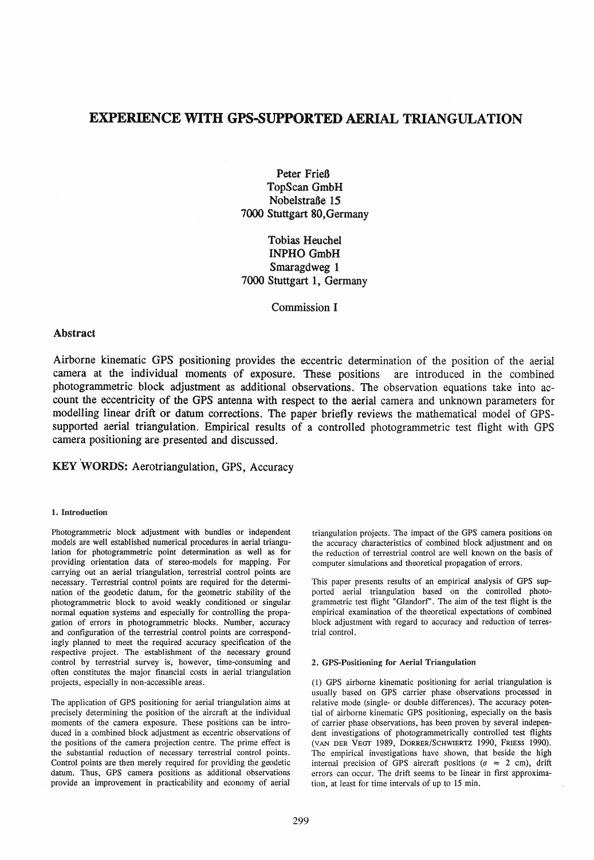# EXPERIENCE WITH GPS-SUPPORTED AERIAL TRIANGULATION

Peter Frieß TopScan GmbH Nobelstraße 15 7000 Stuttgart 80,Germany

Tobias Heuchel INPHO GmbH Smaragdweg 1 7000 Stuttgart 1, Germany

Commission I

## Abstract

Airborne kinematic GPS positioning provides the eccentric determination of the position of the aerial camera at the individual moments of exposure. These positions are introduced in the combined photogrammetric block adjustment as additional observations. The observation equations take into account the eccentricity of the GPS antenna with respect to the aerial camera and unknown parameters for modelling linear drift or datum corrections. The paper briefly reviews the mathematical model of GPSsupported aerial triangulation. Empirical results of a controlled photogrammetric test flight with GPS camera positioning are presented and discussed.

# KEY WORDS: Aerotriangulation, GPS, Accuracy

#### 1. Introduction

Photogrammetric block adjustment with bundles or independent models are well established numerical procedures in aerial triangulation for photogrammetric point determination as weIl as for providing orientation data of stereo-models for mapping. For carrying out an aerial triangulation, terrestrial control points are necessary. Terrestrial control points are required for the determination of the geodetic datum, for the geometrie stability of the photogrammetric block to avoid weakly conditioned or singular normal equation systems and especially for controlling the propagation of errors in photogrammetric blocks. Number, accuracy and configuration of the terrestrial control points are correspondingly planned to meet the required accuracy specification of the respective project. The establishment of the necessary ground control by terrestrial survey is, however, time-consuming and often constitutes the major financial costs in aerial triangulation projects, especially in non-accessible areas.

The application of GPS positioning for aerial triangulation aims at precisely determining the position of the aircraft at the individual moments of the camera exposure. These positions can be introduced in a combined block adjustment as eccentric observations of the positions of the camera projection centre. The prime effect is the substantial reduction of necessary terrestrial control points. Control points are then merely required for providing the geodetie datum. Thus, GPS camera positions as additional observations provide an improvement in practicability and economy of aerial

triangulation projects. The impact of the GPS camera positions on the accuracy characteristics of combined block adjustment and on the reduction of terrestrial control are well known on the basis of computer simulations and theoretieal propagation of errors.

This paper presents results of an empirical analysis of GPS supported aerial triangulation based on the controlled photogrammetrie test flight "Glandorf". The aim of the test flight is the empirical examination of the theoretieal expectations of combined block adjustment with regard to accuracy and reduction of terrestrial control.

#### 2. GPS-Positioning for Aerial Triangulation

(1) GPS airborne kinematic positioning for aerial triangulation is usually based on GPS carrier phase observations processed in relative mode (single- or double differences). The accuracy potential of airborne kinematic GPS positioning, especially on the basis of carrier phase observations, has been proven by several independent investigations of photogrammetrically controlled test flights (VAN DER VEGf 1989, DORRERISCHWIERTZ 1990, FRIESS 1990). The empirical investigations have shown, that beside the high internal precision of GPS aircraft positions ( $\sigma \approx 2$  cm), drift errors can occur. The drift seems to be linear in first approximation, at least for time intervals of up to 15 min.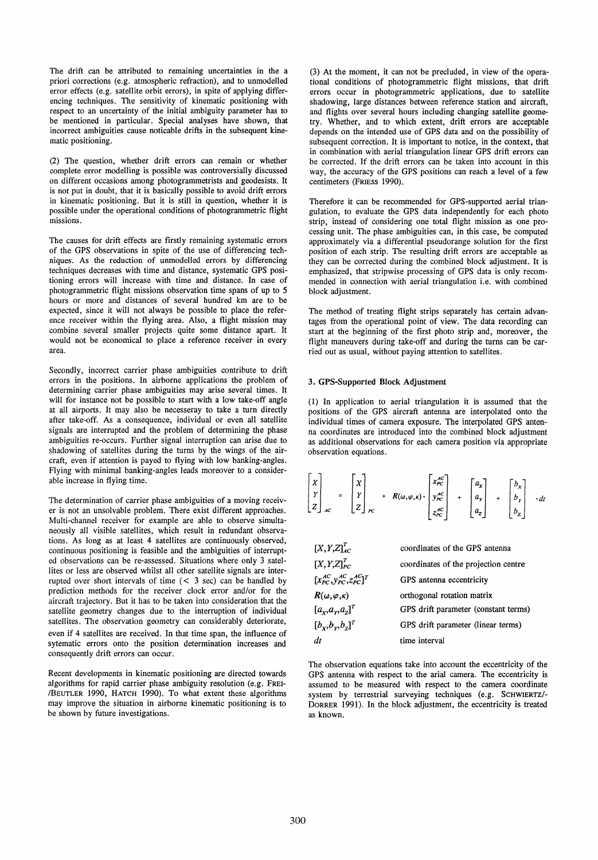The drift can be attributed to remaining uncertainties in the a priori corrections (e.g. atmospheric refraction), and to unmodelled error effects (e.g. satellite orbit errors), in spite of applying differencing techniques. The sensitivity of kinematic positioning with respect to an uncertainty of the initial ambiguity parameter has to be mentioned in partieular. Special analyses have shown, that incorrect ambiguities cause notieable drifts in the subsequent kinematie positioning.

(2) The question, whether drift errors can remain or whether complete error modelling is possible was controversially discussed on different occasions among photogrammetrists and geodesists. It is not put in doubt, that it is basically possible to avoid drift errors in kinematie positioning. But it is still in question, whether it is possible under the operational conditions of photogrammetric flight missions.

The causes for drift effects are firstly remaining systematic errors of the GPS observations in spite of the use of differencing techniques. As the reduction of unmodelled errors by differencing techniques decreases with time and distance, systematic GPS positioning errors will increase with time and distance. In case of photogrammetric flight missions observation time spans of up to 5 hours or more and distances of several hundred km are to be expected, since it will not always be possible to place the reference receiver within the flying area. Also, a flight mission may combine several smaller projects quite some distance apart. It would not be economieal to place a reference receiver in every area.

Secondly, incorrect carrier phase ambiguities contribute to drift errors in the positions. In airborne applications the problem of determining carrier phase ambiguities may arise several times. It will for instance not be possible to start with a low take-off angle at all airports. It mayaiso be necesseray to take a turn directly after take-off. As a consequence, individual or even all satellite signals are interrupted and the problem of determining the phase ambiguities re-occurs. Further signal interruption can arise due to shadowing of satellites during the turns by the wings of the aircraft, even if attention is payed to flying with low banking-angles. Flying with minimal banking-angles leads moreover to a considerable increase in flying time.

The determination of carrier phase ambiguities of a moving receiver is not an unsolvable problem. There exist different approaches. Multi-channel receiver for example are able to observe simultaneously all visible satellites, whieh result in redundant observations. As long as at least 4 satellites are continuously observed, continuous positioning is feasible and the ambiguities of interrupted observations can be re-assessed. Situations where only 3 satellites or less are observed whilst all other sateIlite signals are interrupted over short intervals of time  $(< 3 \text{ sec})$  can be handled by prediction methods for the receiver dock error and/or for the aircraft trajectory. But it has to be taken into consideration that the satellite geometry changes due to the interruption of individual satellites. The observation geometry can considerably deteriorate, even if 4 satellites are received. In that time span, the influence of sytematie errors onto the position determination increases and consequently drift errors can occur.

Recent developments in kinematic positioning are directed towards algorithms for rapid carrier phase ambiguity resolution (e.g. FREI- /BEUTLER 1990, HATCH 1990). To what extent these algorithms may improve the situation in airborne kinematic positioning is to be shown by future investigations.

(3) At the moment, it can not be precluded, in view of the operational conditions of photogrammetric flight missions, that drift errors occur in photogrammetric applications, due to satellite shadowing, large distances between reference station and aircraft, and flights over several hours induding changing satellite geometry. Whether, and to whieh extent, drift errors are acceptable depends on the intended use of GPS data and on the possibility of subsequent correction. It is important to notice, in the context, that in combination with aerial triangulation linear GPS drift errors can be corrected. If the drift errors can be taken into account in this way, the accuracy of the GPS positions can reach a level of a few centimeters (FRIESS 1990).

Therefore it can be recommended for GPS-supported aerial triangulation, to evaluate the GPS data independently for each photo strip, instead of considering one total flight mission as one processing unit. The phase ambiguities can, in this case, be computed approximately via a differential pseudorange solution for the first position of each strip. The resulting drift errors are acceptable as they can be corrected during the combined block adjustment. It is emphasized, that stripwise processing of GPS data is only recommended in connection with aerial triangulation i.e. with combined block adjustment.

The method of treating flight strips separately has certain advantages from the operational point of view. The data recording can start at the beginning of the first photo strip and, moreover, the flight maneuvers during take-off and during the turns can be carried out as usuaI, without paying attention to satellites.

#### 3. GPS-Supported Block Adjustment

(1) In application to aerial triangulation it is assumed that the positions of the GPS aircraft antenna are interpolated onto the individual times of camera exposure. The interpolated GPS antenna coordinates are introduced into the combined block adjustment as additional observations for each camera position via appropriate observation equations.

$$
\begin{bmatrix} x \\ y \\ z \end{bmatrix}_{AC} = \begin{bmatrix} x \\ y \\ z \end{bmatrix}_{BC} + R(\omega, \varphi, \kappa) \cdot \begin{bmatrix} x_{PC}^{AC} \\ y_{PC}^{AC} \\ z_{PC}^{AC} \end{bmatrix} + \begin{bmatrix} a_x \\ a_y \\ a_z \end{bmatrix} + \begin{bmatrix} b_x \\ b_y \\ b_z \end{bmatrix} \cdot dt
$$

| $[X, Y, Z]_{AC}^T$                          | coordinates of the GPS antenna       |
|---------------------------------------------|--------------------------------------|
| $[X, Y, Z]_{PC}^T$                          | coordinates of the projection centre |
| $[x_{PC}^{AC}, y_{PC}^{AC}, z_{PC}^{AC}]^T$ | GPS antenna eccentricity             |
| $R(\omega,\varphi,\kappa)$                  | orthogonal rotation matrix           |
| $[a_{x},a_{y},a_{z}]^{T}$                   | GPS drift parameter (constant terms) |
| $[b_{x},b_{y},b_{z}]^{T}$                   | GPS drift parameter (linear terms)   |
| dt                                          | time interval                        |

The observation equations take into account the eccentricity of the GPS antenna with respect to the arial camera. The eccentricity is assumed to be measured with respect to the camera coordinate system by terrestrial surveying techniques (e.g. SCHWIERTZ/- DORRER 1991). In the block adjustment, the eccentricity is treated as known.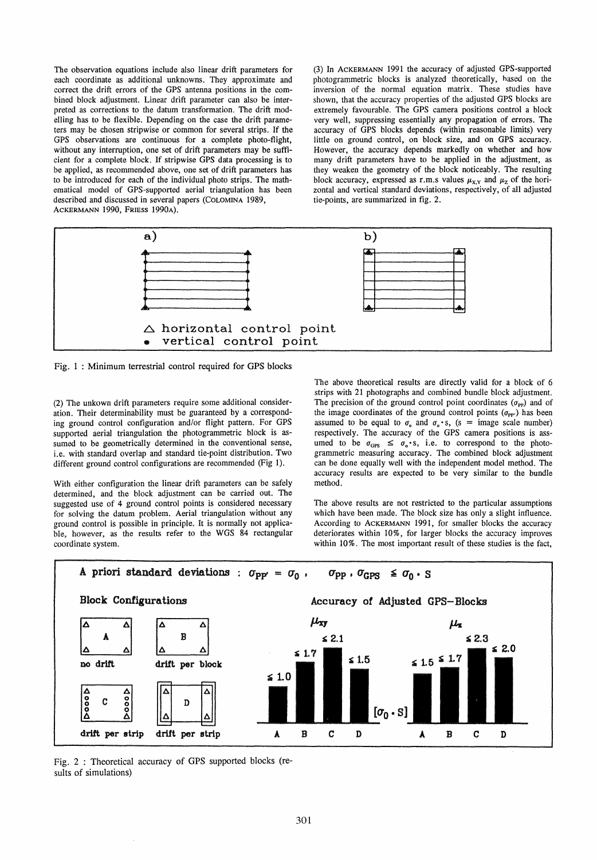The observation equations include also linear drift parameters for each coordinate as additional unknowns. They approximate and correct the drift errors of the GPS antenna positions in the combined block adjustment. Linear drift parameter can also be interpreted as corrections to the datum transformation. The drift modelling has to be flexible. Depending on the case the drift parameters may be chosen stripwise or common for several strips. If the GPS observations are continuous for a complete photo-flight, without any interruption, one set of drift parameters may be sufficient for a complete block. If stripwise GPS data processing is to be applied, as recommended above, one set of drift parameters has to be introduced for each of the individual photo strips. The mathematical model of GPS-supported aerial triangulation has been described and discussed in several papers (COLOMINA 1989, ACKERMANN 1990, FRIESS 1990A).

(3) In ACKERMANN 1991 the accuracy of adjusted GPS-supported photogrammetric blocks is analyzed theoretically, hased on the inversion of the normal equation matrix. These studies have shown, that the accuracy properties of the adjusted GPS blocks are extremely favourable. The GPS camera positions control a block very weIl, suppressing essentially any propagation of errors. The accuracy of GPS blocks depends (within reasonable limits) very little on ground control, on block size, and on GPS accuracy. However, the accuracy depends markedly on whether and how many drift parameters have to be applied in the adjustment, as they weaken the geometry of the block noticeably. The resulting block accuracy, expressed as r.m.s values  $\mu_{X,Y}$  and  $\mu_Z$  of the horizontal and vertical standard deviations, respectively, of all adjusted tie-points, are summarized in fig. 2.



Fig. 1 : Minimum terrestrial control required for GPS blocks

(2) The unkown drift parameters require some additional consideration. Their determinability must be guaranteed by a corresponding ground control configuration and/or tlight pattern. For GPS supported aerial triangulation the photogrammetric block is assumed to be geometrically determined in the conventional sense, i.e. with standard overlap and standard tie-point distribution. Two different ground control configurations are recommended (Fig 1).

With either configuration the linear drift parameters can be safely determined, and the block adjustment can be carried out. The suggested use of 4 ground control points is considered necessary for solving the datum problem. Aerial triangulation without any ground control is possible in principle. It is normally not applicable, however, as the results refer to the WGS 84 rectangular coordinate system.

The above theoretical results are directly valid for a block of 6 strips with 21 photographs and combined bundle block adjustment. The precision of the ground control point coordinates  $(\sigma_{PP})$  and of the image coordinates of the ground control points  $(\sigma_{PP})$  has been assumed to be equal to  $\sigma_0$  and  $\sigma_0 \cdot s$ , (s = image scale number) respectively. The accuracy of the GPS camera positions is assumed to be  $\sigma_{\text{GPS}} \leq \sigma_{\text{o}} \cdot \text{s}$ , i.e. to correspond to the photogrammetric measuring accuracy. The combined block adjustment can be done equally weIl with the independent model method. The accuracy results are expected to be very similar to the bundle method.

The above results are not restricted to the particular assumptions which have been made. The block size has only a slight influence. According to ACKERMANN 1991, for smaller blocks the accuracy deteriorates within 10%, for larger blocks the accuracy improves within 10%. The most important result of these studies is the fact,



Fig. 2 : Theoretical accuracy of GPS supported blocks (results of simulations)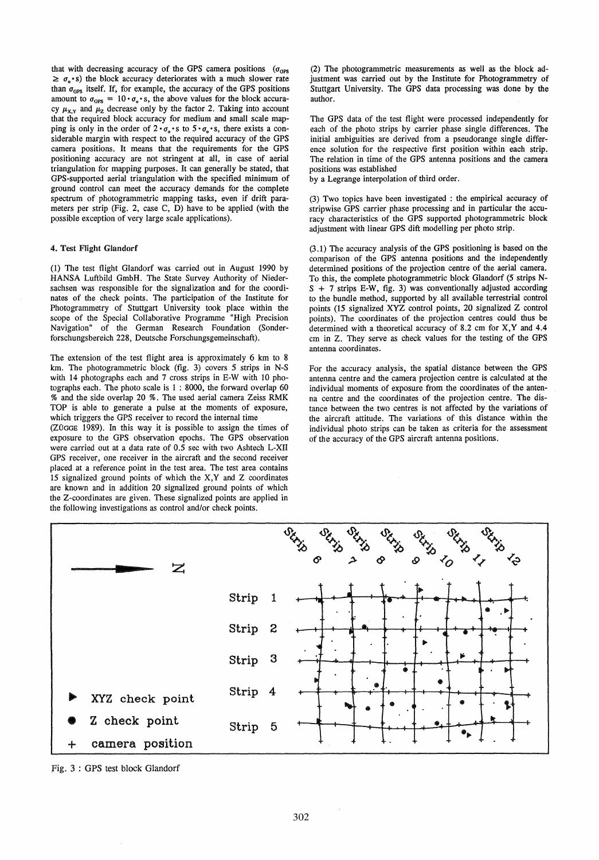that with decreasing accuracy of the GPS camera positions  $(\sigma_{\text{OPS}})$  $\geq \sigma_{0} \cdot s$ ) the block accuracy deteriorates with a much slower rate than  $\sigma_{\text{GPS}}$  itself. If, for example, the accuracy of the GPS positions amount to  $\sigma_{\text{GPS}} = 10 \cdot \sigma_{\text{o}} \cdot \text{s}$ , the above values for the block accuracy  $\mu_{XY}$  and  $\mu_Z$  decrease only by the factor 2. Taking into account that the required block accuracy for medium and small scale mapping is only in the order of  $2 \cdot \sigma_o \cdot s$  to  $5 \cdot \sigma_o \cdot s$ , there exists a considerable margin with respect to the required accuracy of the GPS camera positions. It means that the requirements for the GPS positioning accuracy are not stringent at all, in case of aerial triangulation for mapping purposes. It can generally be stated, that GPS-supported aerial triangulation with the specified minimum of ground control can meet the accuracy demands for the compiete spectrum of photogrammetric mapping tasks, even if drift parameters per strip (Fig. 2, case C, D) have to be applied (with the possible exception of very large scale applications).

### 4. Test Flight Glandorf

(1) The test flight GIandorf was carried out in August 1990 by HANSA Luftbild GmbH. The State Survey Authority of Niedersachsen was responsible for the signalization and for the coordinates of the check points. The participation of the Institute for Photogrammetry of Stuttgart University took place within the scope of the Special Collaborative Programme "High Precision Navigation" of the German Research Foundation (Sonderforschungsbereich 228, Deutsche Forschungsgemeinschaft).

The extension of the test flight area is approximately 6 km to 8 km. The photogrammetric block (fig. 3) covers 5 strips in N-S with 14 photographs each and 7 cross strips in E-W with 10 photographs each. The photo scale is 1 : 8000, the forward overlap 60 % and the side overlap 20 %. The used aerial camera Zeiss RMK TOP is able to generate a pulse at the moments of exposure, which triggers the GPS receiver to record the internal time

(ZÜGGE 1989). In this way it is possible to assign the times of exposure to the GPS observation epochs. The GPS observation were carried out at a data rate of 0.5 sec with two Ashtech L-XII GPS receiver, one receiver in the aircraft and the second receiver placed at a reference point in the test area. The test area contains 15 signalized ground points of which the X,Y and Z coordinates are known and in addition 20 signalized ground points of which the Z-coordinates are given. These signalized points are applied in the following investigations as control and/or check points.

(2) The photogrammetric measurements as weIl as the block adjustment was carried out by the Institute for Photogrammetry of Stuttgart University. The GPS data processing was done by the author.

The GPS data of the test flight were processed independently for each of the photo strips by carrier phase single differences. The initial ambiguities are derived from a pseudorange single difference solution for the respective first position within each strip. The relation in time of the GPS antenna positions and the camera positions was established

by a Legrange interpolation of third order.

(3) Two topics have been investigated : the empirical accuracy of stripwise GPS carrier phase processing and in particular the accuracy characteristics of the GPS supported photogrammetric block adjustment with linear GPS dift modelling per photo strip.

(3.1) The accuracy analysis of the GPS positioning is based on the comparison of the GPS antenna positions and the independently determined positions of the projection centre of the aerial camera. To this, the complete photogrammetric block Glandorf (5 strips N- $S + 7$  strips E-W, fig. 3) was conventionally adjusted according to the bundle method, supported by all available terrestrial control points (15 signalized XYZ control points, 20 signalized Z control points). The coordinates of the projection centres could thus be determined with a theoretical accuracy of 8.2 cm for X, Y and 4.4 cm in Z. They serve as check values for the testing of the GPS antenna coordinates.

For the accuracy analysis, the spatial distance between the GPS antenna centre and the camera projection centre is calculated at the individual moments of exposure from the coordinates of the antenna centre and the coordinates of the projection centre. The distance between the two centres is not affected by the variations of the aircraft attitude. The variations of this distance within the individual photo strips can be taken as criteria for the assessment of the accuracy of the GPS aircraft antenna positions.



Fig. 3 : GPS test block Glandorf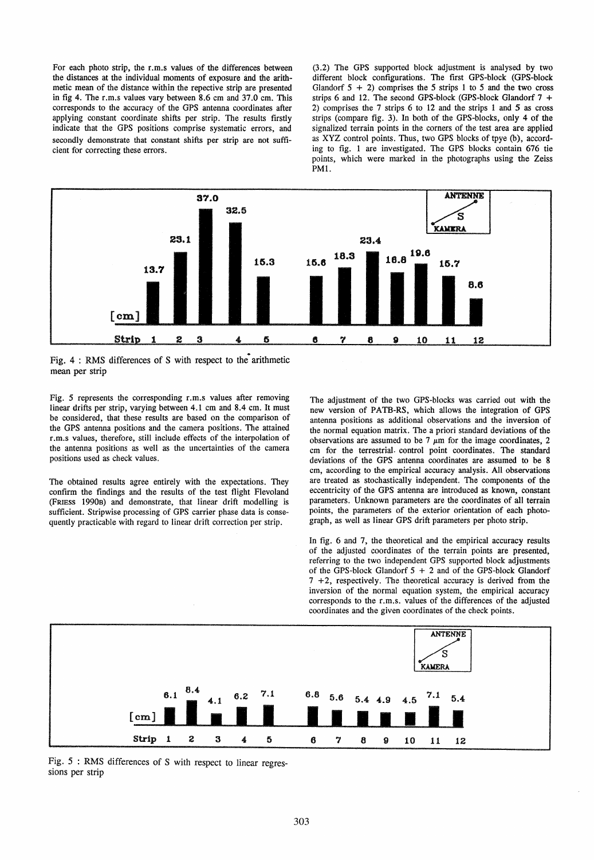For each photo strip. the r.m.s values of the differences between the distances at the individual moments of exposure and the arithmetic mean of the distance within the repective strip are presented in fig 4. The r.m.s values vary between 8.6 cm and 37.0 cm. This corresponds to the accuracy of the GPS antenna coordinates after applying constant coordinate shifts per strip. The results firstly indicate that the GPS positions comprise systematic errors, and secondly demonstrate that constant shifts per strip are not sufficient for correcting these errors.

(3.2) The GPS supported block adjustment is analysed by two different block configurations. The first GPS-block (GPS-block Glandorf  $5 + 2$ ) comprises the 5 strips 1 to 5 and the two cross strips 6 and 12. The second GPS-block (GPS-block Glandorf  $7 +$ 2) comprises the 7 strips 6 to 12 and the strips 1 and 5 as cross strips (compare fig. 3). In both of the GPS-blocks, only 4 of the signaIized terrain points in the corners of the test area are applied as XYZ control points. Thus, two GPS blocks of tpye (b), according to fig. 1 are investigated. The GPS blocks contain 676 tie points, which were marked in the photographs using the Zeiss PMl.



Fig.  $4:$  RMS differences of S with respect to the arithmetic mean per strip

Fig. 5 represents the corresponding r.m.s values after removing linear drifts per strip, varying between 4.1 cm and 8.4 cm. It must be considered, that these results are based on the comparison of the GPS antenna positions and the camera positions. The attained r.m.s values, therefore, still include effects of the interpolation of the antenna positions as weIl as the uncertainties of the camera positions used as check values.

The obtained results agree entirely with the expectations. They confirm the findings and the results of the test flight Flevoland (FRIESS 1990B) and demonstrate, that linear drift modelling is sufficient. Stripwise processing of GPS carrier phase data is consequently practicable with regard to linear drift correction per strip.

The adjustment of the two GPS-blocks was carried out with the new version of PATB-RS, which aHows the integration of GPS antenna positions as additional observations and the inversion of the normal equation matrix. The a priori standard deviations of the observations are assumed to be 7  $\mu$ m for the image coordinates, 2 cm for the terrestrial. control point coordinates. The standard deviations of the GPS antenna coordinates are assumed to be 8 cm, according to the empirical accuracy analysis. All observations are treated as stochastically independent. The components of the eccentricity of the GPS antenna are introduced as known, constant parameters. Unknown parameters are the coordinates of all terrain points, the parameters of the exterior orientation of each photograph, as weIl as linear GPS drift parameters per photo strip.

In fig. 6 and 7, the theoretical and the empirical accuracy results of the adjusted coordinates of the terrain points are presented, referring to the two independent GPS supported block adjustments of the GPS-block Glandorf  $5 + 2$  and of the GPS-block Glandorf 7 +2, respectively. The theoretical accuracy is derived from the inversion of the normal equation system, the empirical accuracy corresponds to the r.m.s. values of the differences of the adjusted coordinates and the given coordinates of the check points.



Fig. 5 : RMS differences of S with respect to linear regressions per strip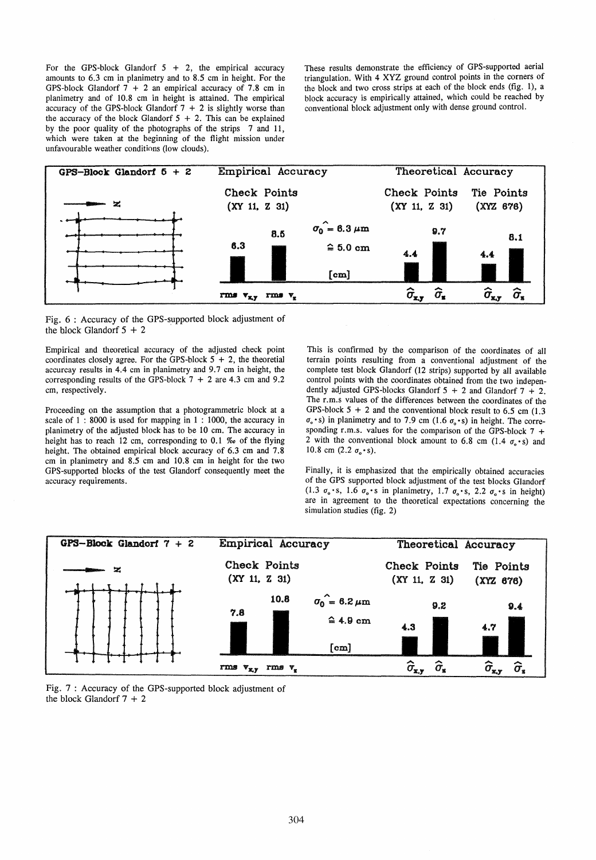For the GPS-block Glandorf  $5 + 2$ , the empirical accuracy amounts to 6.3 cm in planimetry and to 8.5 cm in height. For the GPS-block Glandorf  $7 + 2$  an empirical accuracy of 7.8 cm in planimetry and of 10.8 cm in height is attained. The empirical accuracy of the GPS-block Glandorf  $7 + 2$  is slightly worse than the accuracy of the block Glandorf  $5 + 2$ . This can be explained by the poor quality of the photographs of the strips 7 and 11, which were taken at the beginning of the flight mission under unfavourable weather conditions (low clouds).

These results demonstrate the efficiency of GPS-supported aerial triangulation. With 4 XYZ ground control points in the corners of the block and two cross strips at each of the block ends (fig. 1), a block accuracy is empirically attained, which could be reached by conventional block adjustment only with dense ground contro!.



Fig. 6 : Accuracy of the GPS-supported block adjustment of the block Glandorf  $5 + 2$ 

Empirical and theoretical accuracy of the adjusted check point coordinates closely agree. For the GPS-block  $5 + 2$ , the theoretial accurcay results in 4.4 cm in planimetry and 9.7 cm in height, the corresponding results of the GPS-block  $7 + 2$  are 4.3 cm and 9.2 cm, respectively.

Proceeding on the assumption that a photogrammetric block at a scale of 1:8000 is used for mapping in 1:1000, the accuracy in planimetry of the adjusted block has to be 10 cm. The accuracy in height has to reach 12 cm, corresponding to 0.1 *%0* of the flying height. The obtained empirical block accuracy of 6.3 cm and 7.8 cm in planimetry and 8.5 cm and 10.8 cm in height for the two GPS-supported blocks of the test Glandorf consequently meet the accuracy requirements.

This is confirmed by the comparison of the coordinates of all terrain points resulting from a conventionaI adjustment of the complete test block Glandorf (12 strips) supported by all available controI points with the coordinates obtained from the two independently adjusted GPS-blocks Glandorf  $5 + 2$  and Glandorf  $7 + 2$ . The r.m.s values of the differences between the coordinates of the GPS-block  $5 + 2$  and the conventional block result to 6.5 cm (1.3)  $\sigma_{\rm o}$  • s) in planimetry and to 7.9 cm (1.6  $\sigma_{\rm o}$  • s) in height. The corresponding r.m.s. values for the comparison of the GPS-block  $7 +$ 2 with the conventional block amount to 6.8 cm  $(1.4 \sigma_o \cdot s)$  and 10.8 cm  $(2.2 \sigma_{\rm s} \cdot {\rm s})$ .

Finally, it is emphasized that the empirically obtained accuracies of the GPS supported block adjustment of the test blocks Glandorf (1.3  $\sigma_o \cdot s$ , 1.6  $\sigma_o \cdot s$  in planimetry, 1.7  $\sigma_o \cdot s$ , 2.2  $\sigma_o \cdot s$  in height) are in agreement to the theoretical expectations concerning the simulation studies (fig. 2)